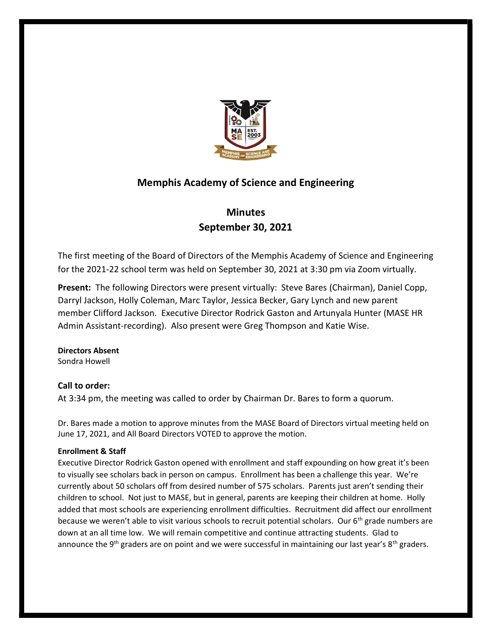

# Memphis Academy of Science and Engineering

# **Minutes** September 30, 2021

The first meeting of the Board of Directors of the Memphis Academy of Science and Engineering for the 2021-22 school term was held on September 30, 2021 at 3:30 pm via Zoom virtually.

Present: The following Directors were present virtually: Steve Bares (Chairman), Daniel Copp, Darryl Jackson, Holly Coleman, Marc Taylor, Jessica Becker, Gary Lynch and new parent member Clifford Jackson. Executive Director Rodrick Gaston and Artunyala Hunter (MASE HR Admin Assistant-recording). Also present were Greg Thompson and Katie Wise.

# Directors Absent

Sondra Howell

# Call to order:

At 3:34 pm, the meeting was called to order by Chairman Dr. Bares to form a quorum.

Dr. Bares made a motion to approve minutes from the MASE Board of Directors virtual meeting held on June 17, 2021, and All Board Directors VOTED to approve the motion.

## Enrollment & Staff

Executive Director Rodrick Gaston opened with enrollment and staff expounding on how great it's been to visually see scholars back in person on campus. Enrollment has been a challenge this year. We're currently about 50 scholars off from desired number of 575 scholars. Parents just aren't sending their children to school. Not just to MASE, but in general, parents are keeping their children at home. Holly added that most schools are experiencing enrollment difficulties. Recruitment did affect our enrollment because we weren't able to visit various schools to recruit potential scholars. Our 6<sup>th</sup> grade numbers are down at an all time low. We will remain competitive and continue attracting students. Glad to announce the 9<sup>th</sup> graders are on point and we were successful in maintaining our last year's  $8<sup>th</sup>$  graders.